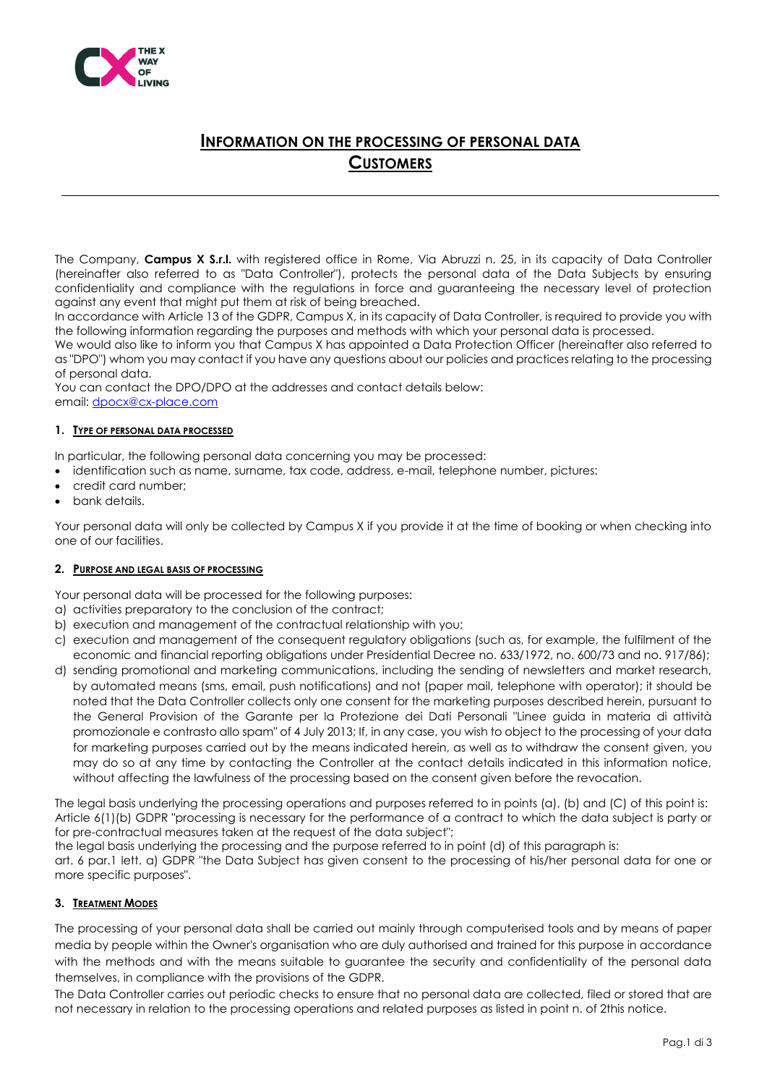

# **INFORMATION ON THE PROCESSING OF PERSONAL DATA CUSTOMERS**

The Company, **Campus X S.r.l.** with registered office in Rome, Via Abruzzi n. 25, in its capacity of Data Controller (hereinafter also referred to as "Data Controller"), protects the personal data of the Data Subjects by ensuring confidentiality and compliance with the regulations in force and guaranteeing the necessary level of protection against any event that might put them at risk of being breached.

In accordance with Article 13 of the GDPR, Campus X, in its capacity of Data Controller, is required to provide you with the following information regarding the purposes and methods with which your personal data is processed.

We would also like to inform you that Campus X has appointed a Data Protection Officer (hereinafter also referred to as "DPO") whom you may contact if you have any questions about our policies and practices relating to the processing of personal data.

You can contact the DPO/DPO at the addresses and contact details below: email[: dpocx@cx-place.com](mailto:dpocx@cx-place.com)

### **1. TYPE OF PERSONAL DATA PROCESSED**

In particular, the following personal data concerning you may be processed:

- identification such as name, surname, tax code, address, e-mail, telephone number, pictures:
- credit card number;
- bank details.

Your personal data will only be collected by Campus X if you provide it at the time of booking or when checking into one of our facilities.

#### **2. PURPOSE AND LEGAL BASIS OF PROCESSING**

Your personal data will be processed for the following purposes:

- a) activities preparatory to the conclusion of the contract;
- b) execution and management of the contractual relationship with you;
- c) execution and management of the consequent regulatory obligations (such as, for example, the fulfilment of the economic and financial reporting obligations under Presidential Decree no. 633/1972, no. 600/73 and no. 917/86);
- d) sending promotional and marketing communications, including the sending of newsletters and market research, by automated means (sms, email, push notifications) and not (paper mail, telephone with operator); it should be noted that the Data Controller collects only one consent for the marketing purposes described herein, pursuant to the General Provision of the Garante per la Protezione dei Dati Personali "Linee guida in materia di attività promozionale e contrasto allo spam" of 4 July 2013; If, in any case, you wish to object to the processing of your data for marketing purposes carried out by the means indicated herein, as well as to withdraw the consent given, you may do so at any time by contacting the Controller at the contact details indicated in this information notice, without affecting the lawfulness of the processing based on the consent given before the revocation.

The legal basis underlying the processing operations and purposes referred to in points (a), (b) and (C) of this point is: Article 6(1)(b) GDPR "processing is necessary for the performance of a contract to which the data subject is party or for pre-contractual measures taken at the request of the data subject";

the legal basis underlying the processing and the purpose referred to in point (d) of this paragraph is: art. 6 par.1 lett. a) GDPR "the Data Subject has given consent to the processing of his/her personal data for one or more specific purposes".

## **3. TREATMENT MODES**

The processing of your personal data shall be carried out mainly through computerised tools and by means of paper media by people within the Owner's organisation who are duly authorised and trained for this purpose in accordance with the methods and with the means suitable to guarantee the security and confidentiality of the personal data themselves, in compliance with the provisions of the GDPR.

The Data Controller carries out periodic checks to ensure that no personal data are collected, filed or stored that are not necessary in relation to the processing operations and related purposes as listed in point n. of 2this notice.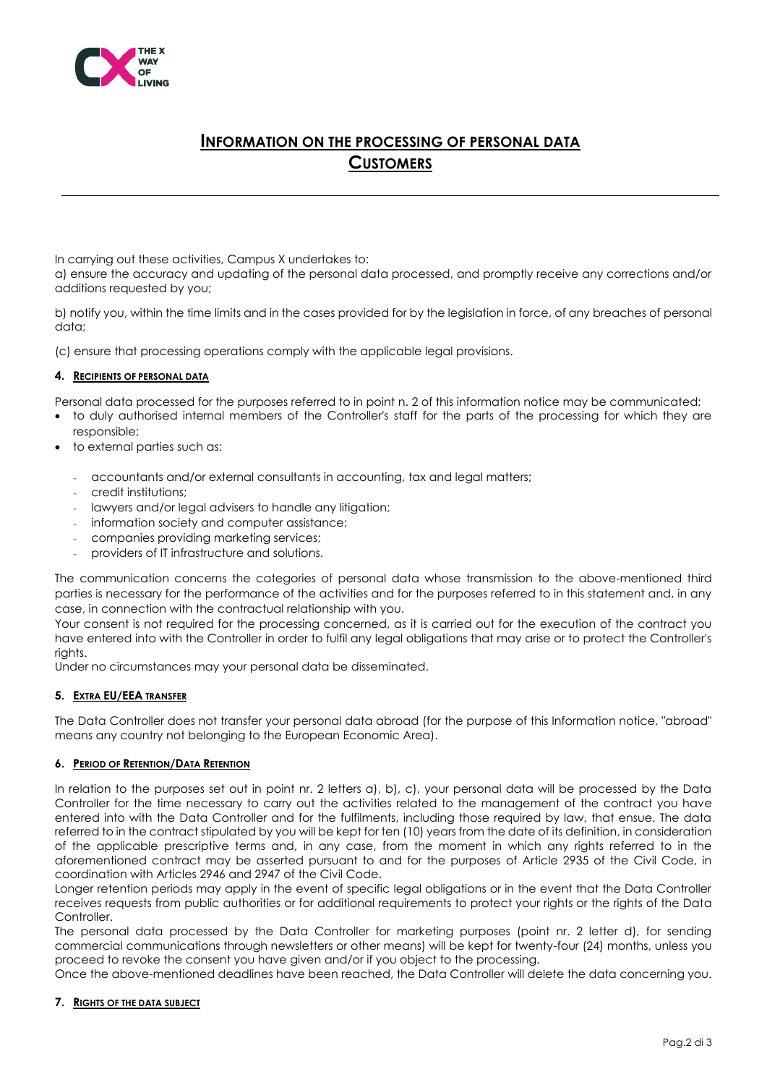

# **INFORMATION ON THE PROCESSING OF PERSONAL DATA CUSTOMERS**

In carrying out these activities, Campus X undertakes to:

a) ensure the accuracy and updating of the personal data processed, and promptly receive any corrections and/or additions requested by you;

b) notify you, within the time limits and in the cases provided for by the legislation in force, of any breaches of personal data;

(c) ensure that processing operations comply with the applicable legal provisions.

### **4. RECIPIENTS OF PERSONAL DATA**

Personal data processed for the purposes referred to in point n. 2 of this information notice may be communicated:

- to duly authorised internal members of the Controller's staff for the parts of the processing for which they are responsible;
- to external parties such as:
	- accountants and/or external consultants in accounting, tax and legal matters;
	- credit institutions;
	- lawyers and/or legal advisers to handle any litigation;
	- information society and computer assistance;
	- companies providing marketing services;
	- providers of IT infrastructure and solutions.

The communication concerns the categories of personal data whose transmission to the above-mentioned third parties is necessary for the performance of the activities and for the purposes referred to in this statement and, in any case, in connection with the contractual relationship with you.

Your consent is not required for the processing concerned, as it is carried out for the execution of the contract you have entered into with the Controller in order to fulfil any legal obligations that may arise or to protect the Controller's rights.

Under no circumstances may your personal data be disseminated.

#### **5. EXTRA EU/EEA TRANSFER**

The Data Controller does not transfer your personal data abroad (for the purpose of this Information notice, "abroad" means any country not belonging to the European Economic Area).

#### **6. PERIOD OF RETENTION/DATA RETENTION**

In relation to the purposes set out in point nr. 2 letters a), b), c), your personal data will be processed by the Data Controller for the time necessary to carry out the activities related to the management of the contract you have entered into with the Data Controller and for the fulfilments, including those required by law, that ensue. The data referred to in the contract stipulated by you will be kept for ten (10) years from the date of its definition, in consideration of the applicable prescriptive terms and, in any case, from the moment in which any rights referred to in the aforementioned contract may be asserted pursuant to and for the purposes of Article 2935 of the Civil Code, in coordination with Articles 2946 and 2947 of the Civil Code.

Longer retention periods may apply in the event of specific legal obligations or in the event that the Data Controller receives requests from public authorities or for additional requirements to protect your rights or the rights of the Data Controller.

The personal data processed by the Data Controller for marketing purposes (point nr. 2 letter d), for sending commercial communications through newsletters or other means) will be kept for twenty-four (24) months, unless you proceed to revoke the consent you have given and/or if you object to the processing.

Once the above-mentioned deadlines have been reached, the Data Controller will delete the data concerning you.

#### **7. RIGHTS OF THE DATA SUBJECT**